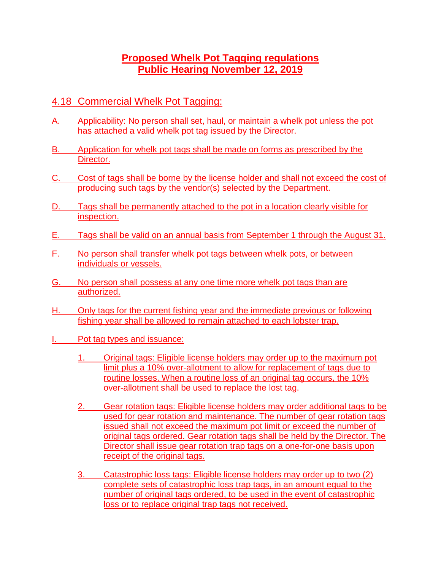## **Proposed Whelk Pot Tagging regulations Public Hearing November 12, 2019**

## 4.18 Commercial Whelk Pot Tagging:

- A. Applicability: No person shall set, haul, or maintain a whelk pot unless the pot has attached a valid whelk pot tag issued by the Director.
- B. Application for whelk pot tags shall be made on forms as prescribed by the Director.
- C. Cost of tags shall be borne by the license holder and shall not exceed the cost of producing such tags by the vendor(s) selected by the Department.
- D. Tags shall be permanently attached to the pot in a location clearly visible for inspection.
- E. Tags shall be valid on an annual basis from September 1 through the August 31.
- F. No person shall transfer whelk pot tags between whelk pots, or between individuals or vessels.
- G. No person shall possess at any one time more whelk pot tags than are authorized.
- H. Only tags for the current fishing year and the immediate previous or following fishing year shall be allowed to remain attached to each lobster trap.
- I. Pot tag types and issuance:
	- 1. Original tags: Eligible license holders may order up to the maximum pot limit plus a 10% over-allotment to allow for replacement of tags due to routine losses. When a routine loss of an original tag occurs, the 10% over-allotment shall be used to replace the lost tag.
	- 2. Gear rotation tags: Eligible license holders may order additional tags to be used for gear rotation and maintenance. The number of gear rotation tags issued shall not exceed the maximum pot limit or exceed the number of original tags ordered. Gear rotation tags shall be held by the Director. The Director shall issue gear rotation trap tags on a one-for-one basis upon receipt of the original tags.
	- 3. Catastrophic loss tags: Eligible license holders may order up to two (2) complete sets of catastrophic loss trap tags, in an amount equal to the number of original tags ordered, to be used in the event of catastrophic loss or to replace original trap tags not received.